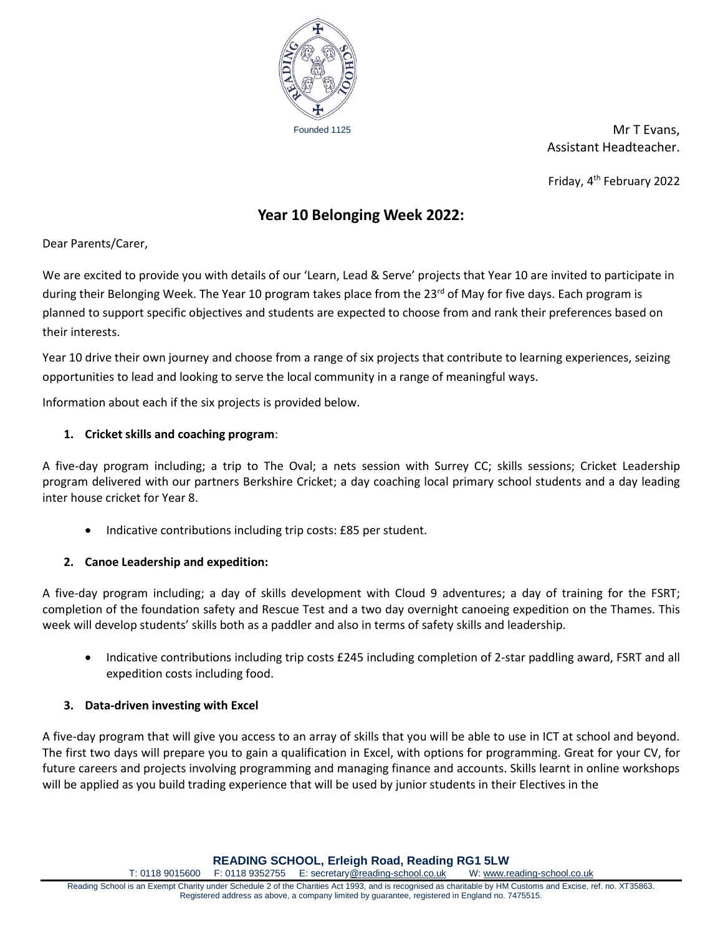

Founded 1125 **Mr T Evans,** Assistant Headteacher.

Friday, 4th February 2022

# **Year 10 Belonging Week 2022:**

Dear Parents/Carer,

We are excited to provide you with details of our 'Learn, Lead & Serve' projects that Year 10 are invited to participate in during their Belonging Week. The Year 10 program takes place from the 23<sup>rd</sup> of May for five days. Each program is planned to support specific objectives and students are expected to choose from and rank their preferences based on their interests.

Year 10 drive their own journey and choose from a range of six projects that contribute to learning experiences, seizing opportunities to lead and looking to serve the local community in a range of meaningful ways.

Information about each if the six projects is provided below.

## **1. Cricket skills and coaching program**:

A five-day program including; a trip to The Oval; a nets session with Surrey CC; skills sessions; Cricket Leadership program delivered with our partners Berkshire Cricket; a day coaching local primary school students and a day leading inter house cricket for Year 8.

Indicative contributions including trip costs: £85 per student.

## **2. Canoe Leadership and expedition:**

A five-day program including; a day of skills development with Cloud 9 adventures; a day of training for the FSRT; completion of the foundation safety and Rescue Test and a two day overnight canoeing expedition on the Thames. This week will develop students' skills both as a paddler and also in terms of safety skills and leadership.

• Indicative contributions including trip costs £245 including completion of 2-star paddling award, FSRT and all expedition costs including food.

## **3. Data-driven investing with Excel**

A five-day program that will give you access to an array of skills that you will be able to use in ICT at school and beyond. The first two days will prepare you to gain a qualification in Excel, with options for programming. Great for your CV, for future careers and projects involving programming and managing finance and accounts. Skills learnt in online workshops will be applied as you build trading experience that will be used by junior students in their Electives in the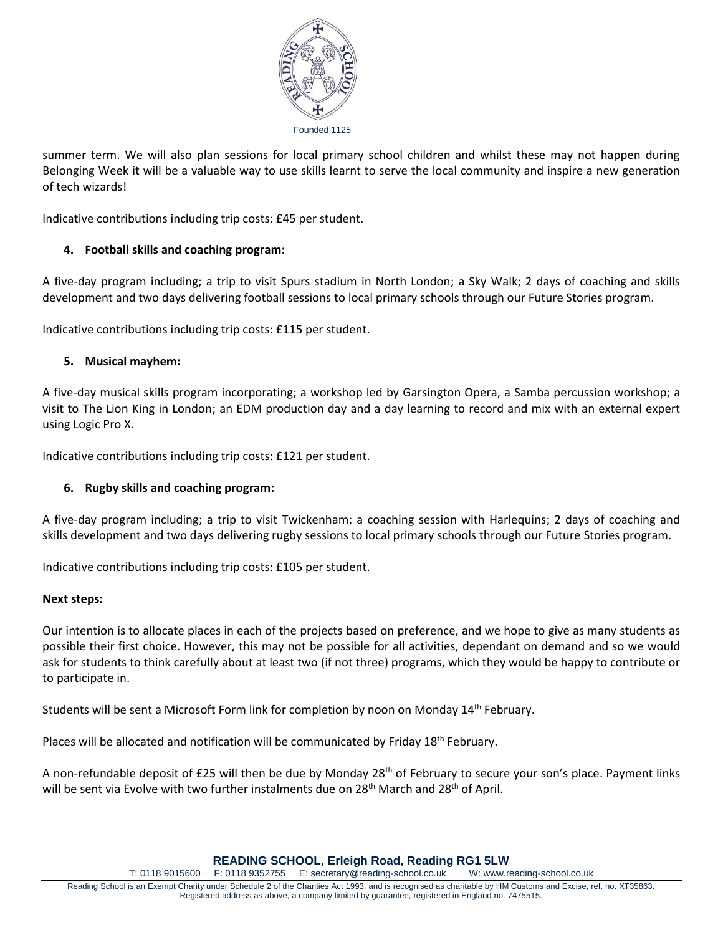

summer term. We will also plan sessions for local primary school children and whilst these may not happen during Belonging Week it will be a valuable way to use skills learnt to serve the local community and inspire a new generation of tech wizards!

Indicative contributions including trip costs: £45 per student.

## **4. Football skills and coaching program:**

A five-day program including; a trip to visit Spurs stadium in North London; a Sky Walk; 2 days of coaching and skills development and two days delivering football sessions to local primary schools through our Future Stories program.

Indicative contributions including trip costs: £115 per student.

#### **5. Musical mayhem:**

A five-day musical skills program incorporating; a workshop led by Garsington Opera, a Samba percussion workshop; a visit to The Lion King in London; an EDM production day and a day learning to record and mix with an external expert using Logic Pro X.

Indicative contributions including trip costs: £121 per student.

#### **6. Rugby skills and coaching program:**

A five-day program including; a trip to visit Twickenham; a coaching session with Harlequins; 2 days of coaching and skills development and two days delivering rugby sessions to local primary schools through our Future Stories program.

Indicative contributions including trip costs: £105 per student.

#### **Next steps:**

Our intention is to allocate places in each of the projects based on preference, and we hope to give as many students as possible their first choice. However, this may not be possible for all activities, dependant on demand and so we would ask for students to think carefully about at least two (if not three) programs, which they would be happy to contribute or to participate in.

Students will be sent a Microsoft Form link for completion by noon on Monday 14th February.

Places will be allocated and notification will be communicated by Friday 18<sup>th</sup> February.

A non-refundable deposit of £25 will then be due by Monday 28<sup>th</sup> of February to secure your son's place. Payment links will be sent via Evolve with two further instalments due on  $28<sup>th</sup>$  March and  $28<sup>th</sup>$  of April.